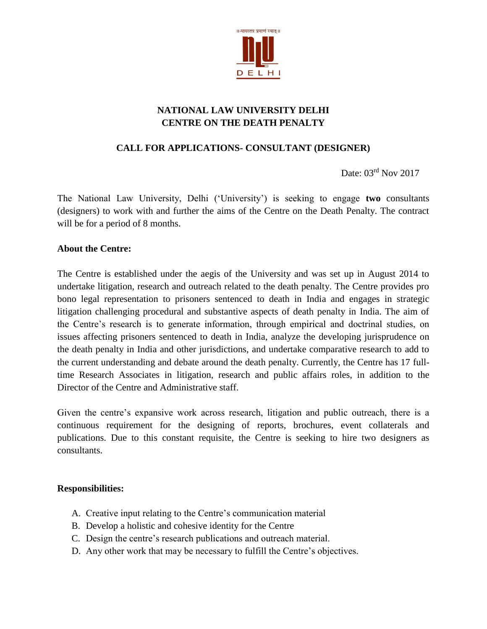

# **NATIONAL LAW UNIVERSITY DELHI CENTRE ON THE DEATH PENALTY**

# **CALL FOR APPLICATIONS- CONSULTANT (DESIGNER)**

Date: 03rd Nov 2017

The National Law University, Delhi ('University') is seeking to engage **two** consultants (designers) to work with and further the aims of the Centre on the Death Penalty. The contract will be for a period of 8 months.

#### **About the Centre:**

The Centre is established under the aegis of the University and was set up in August 2014 to undertake litigation, research and outreach related to the death penalty. The Centre provides pro bono legal representation to prisoners sentenced to death in India and engages in strategic litigation challenging procedural and substantive aspects of death penalty in India. The aim of the Centre's research is to generate information, through empirical and doctrinal studies, on issues affecting prisoners sentenced to death in India, analyze the developing jurisprudence on the death penalty in India and other jurisdictions, and undertake comparative research to add to the current understanding and debate around the death penalty. Currently, the Centre has 17 fulltime Research Associates in litigation, research and public affairs roles, in addition to the Director of the Centre and Administrative staff.

Given the centre's expansive work across research, litigation and public outreach, there is a continuous requirement for the designing of reports, brochures, event collaterals and publications. Due to this constant requisite, the Centre is seeking to hire two designers as consultants.

#### **Responsibilities:**

- A. Creative input relating to the Centre's communication material
- B. Develop a holistic and cohesive identity for the Centre
- C. Design the centre's research publications and outreach material.
- D. Any other work that may be necessary to fulfill the Centre's objectives.